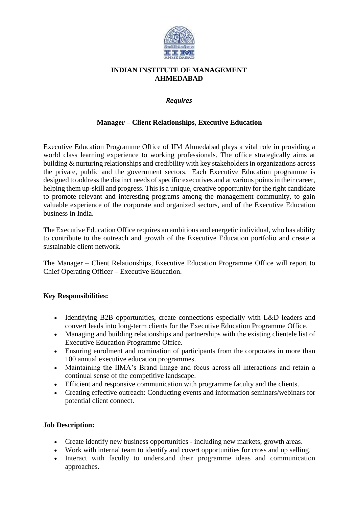

## **INDIAN INSTITUTE OF MANAGEMENT AHMEDABAD**

#### *Requires*

## **Manager – Client Relationships, Executive Education**

Executive Education Programme Office of IIM Ahmedabad plays a vital role in providing a world class learning experience to working professionals. The office strategically aims at building & nurturing relationships and credibility with key stakeholders in organizations across the private, public and the government sectors. Each Executive Education programme is designed to address the distinct needs of specific executives and at various points in their career, helping them up-skill and progress. This is a unique, creative opportunity for the right candidate to promote relevant and interesting programs among the management community, to gain valuable experience of the corporate and organized sectors, and of the Executive Education business in India.

The Executive Education Office requires an ambitious and energetic individual, who has ability to contribute to the outreach and growth of the Executive Education portfolio and create a sustainable client network.

The Manager – Client Relationships, Executive Education Programme Office will report to Chief Operating Officer – Executive Education.

## **Key Responsibilities:**

- Identifying B2B opportunities, create connections especially with L&D leaders and convert leads into long-term clients for the Executive Education Programme Office.
- Managing and building relationships and partnerships with the existing clientele list of Executive Education Programme Office.
- Ensuring enrolment and nomination of participants from the corporates in more than 100 annual executive education programmes.
- Maintaining the IIMA's Brand Image and focus across all interactions and retain a continual sense of the competitive landscape.
- Efficient and responsive communication with programme faculty and the clients.
- Creating effective outreach: Conducting events and information seminars/webinars for potential client connect.

#### **Job Description:**

- Create identify new business opportunities including new markets, growth areas.
- Work with internal team to identify and covert opportunities for cross and up selling.
- Interact with faculty to understand their programme ideas and communication approaches.